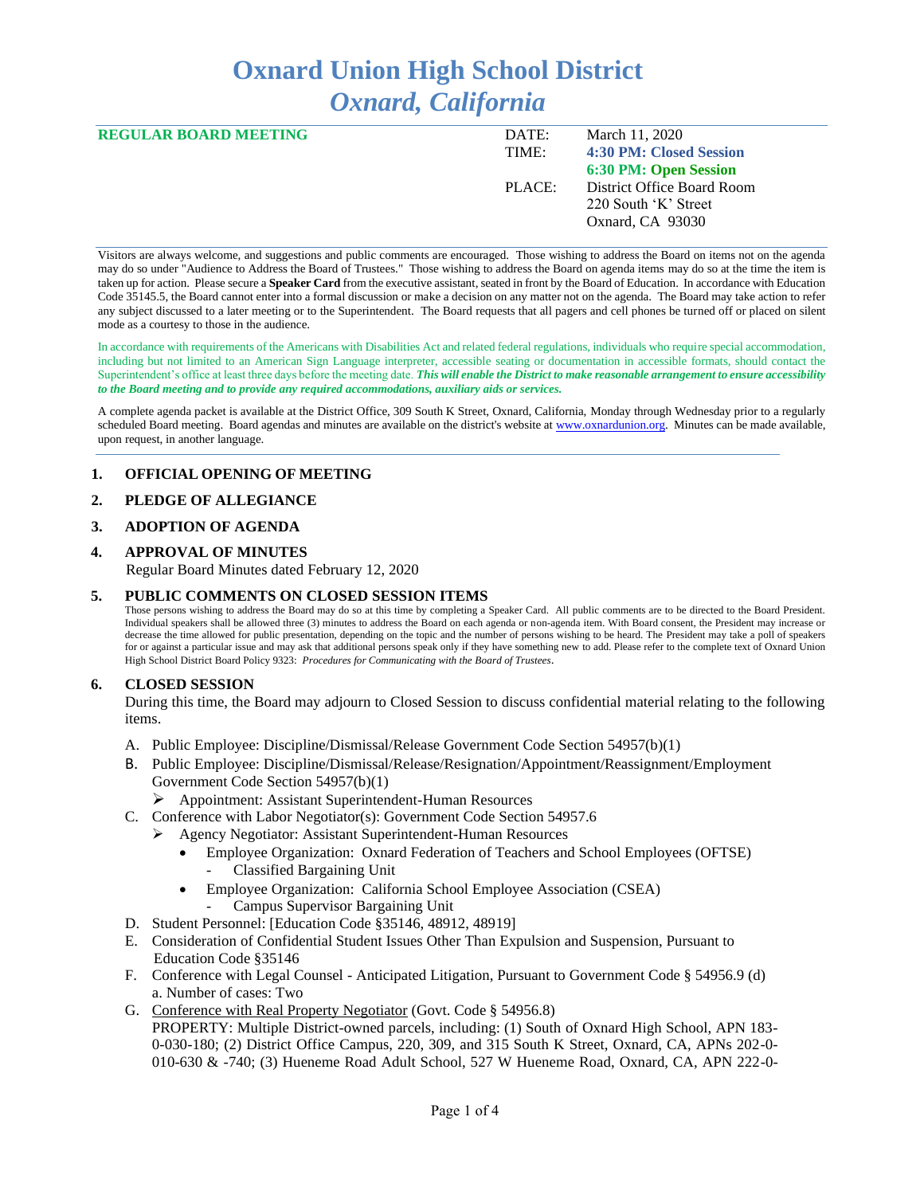# **Oxnard Union High School District** *Oxnard, California*

| <b>REGULAR BOARD MEETING</b> | DATE:  | March 11, 2020                 |
|------------------------------|--------|--------------------------------|
|                              | TIME:  | <b>4:30 PM: Closed Session</b> |
|                              |        | <b>6:30 PM: Open Session</b>   |
|                              | PLACE: | District Office Board Room     |
|                              |        | 220 South 'K' Street           |
|                              |        | Oxnard, CA 93030               |

Visitors are always welcome, and suggestions and public comments are encouraged. Those wishing to address the Board on items not on the agenda may do so under "Audience to Address the Board of Trustees." Those wishing to address the Board on agenda items may do so at the time the item is taken up for action. Please secure a **Speaker Card** from the executive assistant, seated in front by the Board of Education. In accordance with Education Code 35145.5, the Board cannot enter into a formal discussion or make a decision on any matter not on the agenda. The Board may take action to refer any subject discussed to a later meeting or to the Superintendent. The Board requests that all pagers and cell phones be turned off or placed on silent mode as a courtesy to those in the audience.

In accordance with requirements of the Americans with Disabilities Act and related federal regulations, individuals who require special accommodation, including but not limited to an American Sign Language interpreter, accessible seating or documentation in accessible formats, should contact the Superintendent's office at least three days before the meeting date. *This will enable the District to make reasonable arrangement to ensure accessibility to the Board meeting and to provide any required accommodations, auxiliary aids or services.* 

A complete agenda packet is available at the District Office, 309 South K Street, Oxnard, California, Monday through Wednesday prior to a regularly scheduled Board meeting. Board agendas and minutes are available on the district's website a[t www.ox](http://www.o/)nardunion.org.Minutes can be made available, upon request, in another language.

## **1. OFFICIAL OPENING OF MEETING**

#### **2. PLEDGE OF ALLEGIANCE**

#### **3. ADOPTION OF AGENDA**

#### **4. APPROVAL OF MINUTES**

Regular Board Minutes dated February 12, 2020

#### **5. PUBLIC COMMENTS ON CLOSED SESSION ITEMS**

Those persons wishing to address the Board may do so at this time by completing a Speaker Card. All public comments are to be directed to the Board President. Individual speakers shall be allowed three (3) minutes to address the Board on each agenda or non-agenda item. With Board consent, the President may increase or decrease the time allowed for public presentation, depending on the topic and the number of persons wishing to be heard. The President may take a poll of speakers for or against a particular issue and may ask that additional persons speak only if they have something new to add. Please refer to the complete text of Oxnard Union High School District Board Policy 9323: *Procedures for Communicating with the Board of Trustees*.

#### **6. CLOSED SESSION**

During this time, the Board may adjourn to Closed Session to discuss confidential material relating to the following items.

- A. Public Employee: Discipline/Dismissal/Release Government Code Section 54957(b)(1)
- B. Public Employee: Discipline/Dismissal/Release/Resignation/Appointment/Reassignment/Employment Government Code Section 54957(b)(1)
	- ➢ Appointment: Assistant Superintendent-Human Resources
- C. Conference with Labor Negotiator(s): Government Code Section 54957.6
	- ➢ Agency Negotiator: Assistant Superintendent-Human Resources
		- Employee Organization: Oxnard Federation of Teachers and School Employees (OFTSE) - Classified Bargaining Unit
		- Employee Organization: California School Employee Association (CSEA)
			- Campus Supervisor Bargaining Unit
- D. Student Personnel: [Education Code §35146, 48912, 48919]
- E. Consideration of Confidential Student Issues Other Than Expulsion and Suspension, Pursuant to Education Code §35146
- F. Conference with Legal Counsel Anticipated Litigation, Pursuant to Government Code § 54956.9 (d) a. Number of cases: Two
- G. Conference with Real Property Negotiator (Govt. Code § 54956.8) PROPERTY: Multiple District-owned parcels, including: (1) South of Oxnard High School, APN 183- 0-030-180; (2) District Office Campus, 220, 309, and 315 South K Street, Oxnard, CA, APNs 202-0- 010-630 & -740; (3) Hueneme Road Adult School, 527 W Hueneme Road, Oxnard, CA, APN 222-0-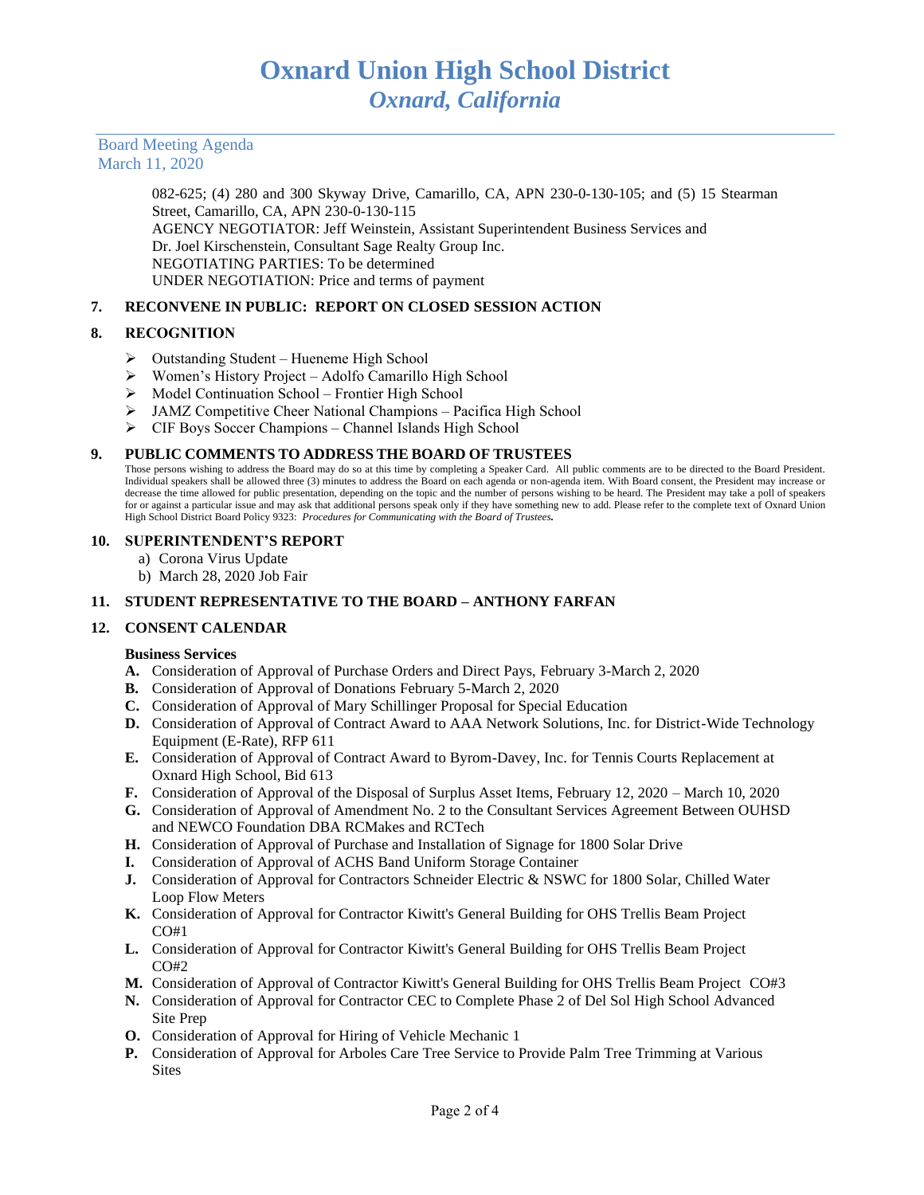Board Meeting Agenda March 11, 2020

> 082-625; (4) 280 and 300 Skyway Drive, Camarillo, CA, APN 230-0-130-105; and (5) 15 Stearman Street, Camarillo, CA, APN 230-0-130-115 AGENCY NEGOTIATOR: Jeff Weinstein, Assistant Superintendent Business Services and Dr. Joel Kirschenstein, Consultant Sage Realty Group Inc. NEGOTIATING PARTIES: To be determined UNDER NEGOTIATION: Price and terms of payment

# **7. RECONVENE IN PUBLIC: REPORT ON CLOSED SESSION ACTION**

## **8. RECOGNITION**

- ➢ Outstanding Student Hueneme High School
- ➢ Women's History Project Adolfo Camarillo High School
- ➢ Model Continuation School Frontier High School
- ➢ JAMZ Competitive Cheer National Champions Pacifica High School
- ➢ CIF Boys Soccer Champions Channel Islands High School

#### **9. PUBLIC COMMENTS TO ADDRESS THE BOARD OF TRUSTEES**

Those persons wishing to address the Board may do so at this time by completing a Speaker Card. All public comments are to be directed to the Board President. Individual speakers shall be allowed three (3) minutes to address the Board on each agenda or non-agenda item. With Board consent, the President may increase or decrease the time allowed for public presentation, depending on the topic and the number of persons wishing to be heard. The President may take a poll of speakers for or against a particular issue and may ask that additional persons speak only if they have something new to add. Please refer to the complete text of Oxnard Union High School District Board Policy 9323: *Procedures for Communicating with the Board of Trustees.*

#### **10. SUPERINTENDENT'S REPORT**

- a) Corona Virus Update
- b) March 28, 2020 Job Fair

# **11. STUDENT REPRESENTATIVE TO THE BOARD – ANTHONY FARFAN**

## **12. CONSENT CALENDAR**

#### **Business Services**

- **A.** Consideration of Approval of Purchase Orders and Direct Pays, February 3-March 2, 2020
- **B.** Consideration of Approval of Donations February 5-March 2, 2020
- **C.** Consideration of Approval of Mary Schillinger Proposal for Special Education
- **D.** Consideration of Approval of Contract Award to AAA Network Solutions, Inc. for District-Wide Technology Equipment (E-Rate), RFP 611
- **E.** Consideration of Approval of Contract Award to Byrom-Davey, Inc. for Tennis Courts Replacement at Oxnard High School, Bid 613
- **F.** Consideration of Approval of the Disposal of Surplus Asset Items, February 12, 2020 March 10, 2020
- **G.** Consideration of Approval of Amendment No. 2 to the Consultant Services Agreement Between OUHSD and NEWCO Foundation DBA RCMakes and RCTech
- **H.** Consideration of Approval of Purchase and Installation of Signage for 1800 Solar Drive
- **I.** Consideration of Approval of ACHS Band Uniform Storage Container
- **J.** Consideration of Approval for Contractors Schneider Electric & NSWC for 1800 Solar, Chilled Water Loop Flow Meters
- **K.** Consideration of Approval for Contractor Kiwitt's General Building for OHS Trellis Beam Project CO#1
- **L.** Consideration of Approval for Contractor Kiwitt's General Building for OHS Trellis Beam Project CO#2
- **M.** Consideration of Approval of Contractor Kiwitt's General Building for OHS Trellis Beam Project CO#3
- **N.** Consideration of Approval for Contractor CEC to Complete Phase 2 of Del Sol High School Advanced Site Prep
- **O.** Consideration of Approval for Hiring of Vehicle Mechanic 1
- **P.** Consideration of Approval for Arboles Care Tree Service to Provide Palm Tree Trimming at Various **Sites**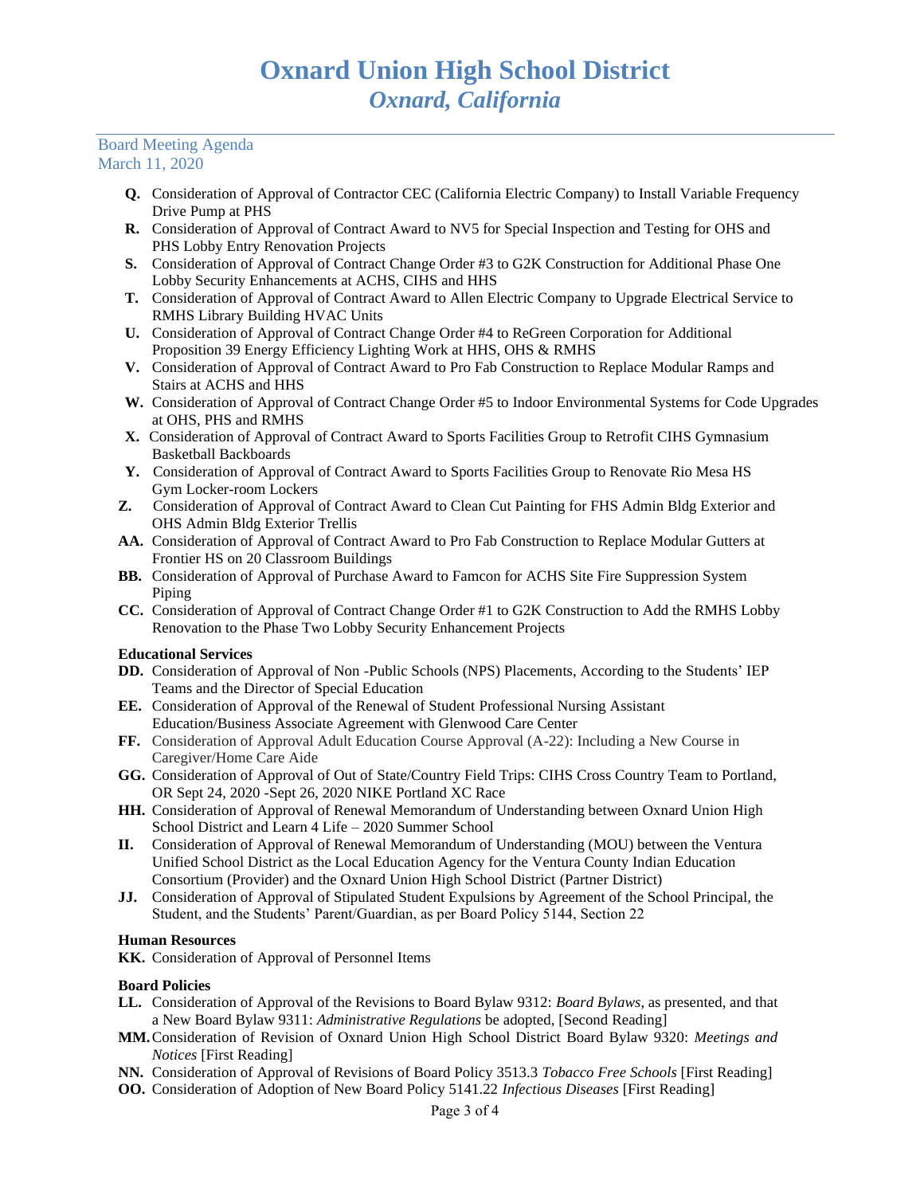## Board Meeting Agenda March 11, 2020

- **Q.** Consideration of Approval of Contractor CEC (California Electric Company) to Install Variable Frequency Drive Pump at PHS
- **R.** Consideration of Approval of Contract Award to NV5 for Special Inspection and Testing for OHS and PHS Lobby Entry Renovation Projects
- **S.** Consideration of Approval of Contract Change Order #3 to G2K Construction for Additional Phase One Lobby Security Enhancements at ACHS, CIHS and HHS
- **T.** Consideration of Approval of Contract Award to Allen Electric Company to Upgrade Electrical Service to RMHS Library Building HVAC Units
- **U.** Consideration of Approval of Contract Change Order #4 to ReGreen Corporation for Additional Proposition 39 Energy Efficiency Lighting Work at HHS, OHS & RMHS
- **V.** Consideration of Approval of Contract Award to Pro Fab Construction to Replace Modular Ramps and Stairs at ACHS and HHS
- **W.** Consideration of Approval of Contract Change Order #5 to Indoor Environmental Systems for Code Upgrades at OHS, PHS and RMHS
- **X.** Consideration of Approval of Contract Award to Sports Facilities Group to Retrofit CIHS Gymnasium Basketball Backboards
- **Y.** Consideration of Approval of Contract Award to Sports Facilities Group to Renovate Rio Mesa HS Gym Locker-room Lockers
- **Z.** Consideration of Approval of Contract Award to Clean Cut Painting for FHS Admin Bldg Exterior and OHS Admin Bldg Exterior Trellis
- **AA.** Consideration of Approval of Contract Award to Pro Fab Construction to Replace Modular Gutters at Frontier HS on 20 Classroom Buildings
- **BB.** Consideration of Approval of Purchase Award to Famcon for ACHS Site Fire Suppression System Piping
- **CC.** Consideration of Approval of Contract Change Order #1 to G2K Construction to Add the RMHS Lobby Renovation to the Phase Two Lobby Security Enhancement Projects

## **Educational Services**

- **DD.** Consideration of Approval of Non -Public Schools (NPS) Placements, According to the Students' IEP Teams and the Director of Special Education
- **EE.** Consideration of Approval of the Renewal of Student Professional Nursing Assistant Education/Business Associate Agreement with Glenwood Care Center
- **FF.** Consideration of Approval Adult Education Course Approval (A-22): Including a New Course in Caregiver/Home Care Aide
- **GG.** Consideration of Approval of Out of State/Country Field Trips: CIHS Cross Country Team to Portland, OR Sept 24, 2020 -Sept 26, 2020 NIKE Portland XC Race
- **HH.** Consideration of Approval of Renewal Memorandum of Understanding between Oxnard Union High School District and Learn 4 Life – 2020 Summer School
- **II.** Consideration of Approval of Renewal Memorandum of Understanding (MOU) between the Ventura Unified School District as the Local Education Agency for the Ventura County Indian Education Consortium (Provider) and the Oxnard Union High School District (Partner District)
- **JJ.** Consideration of Approval of Stipulated Student Expulsions by Agreement of the School Principal, the Student, and the Students' Parent/Guardian, as per Board Policy 5144, Section 22

## **Human Resources**

**KK.** Consideration of Approval of Personnel Items

## **Board Policies**

- **LL.** Consideration of Approval of the Revisions to Board Bylaw 9312: *Board Bylaws*, as presented, and that a New Board Bylaw 9311: *Administrative Regulations* be adopted, [Second Reading]
- **MM.**Consideration of Revision of Oxnard Union High School District Board Bylaw 9320: *Meetings and Notices* [First Reading]
- **NN.** Consideration of Approval of Revisions of Board Policy 3513.3 *Tobacco Free Schools* [First Reading]
- **OO.** Consideration of Adoption of New Board Policy 5141.22 *Infectious Diseases* [First Reading]